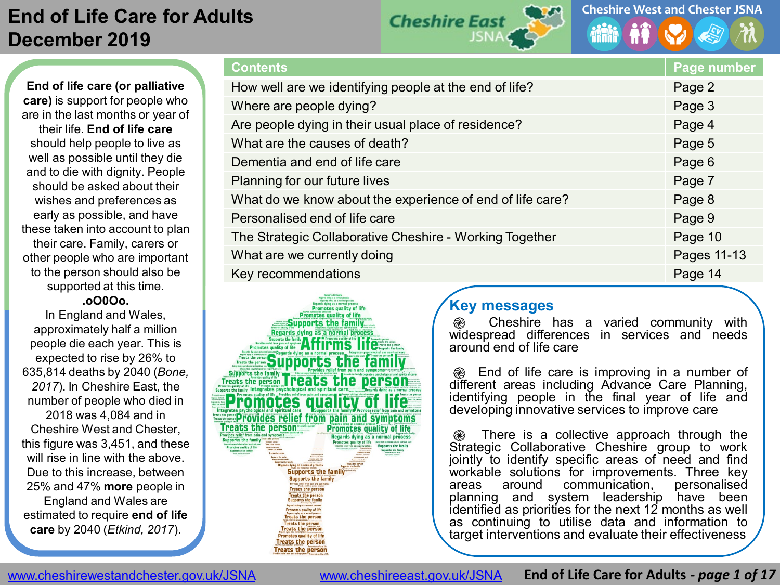# **End of Life Care for Adults December 2019**

**Cheshire East** JSN



**End of life care (or palliative care)** is support for people who are in the last months or year of their life. **End of life care**  should help people to live as well as possible until they die and to die with dignity. People should be asked about their wishes and preferences as early as possible, and have these taken into account to plan their care. Family, carers or other people who are important to the person should also be supported at this time.

**.oO0Oo.** In England and Wales,

approximately half a million people die each year. This is expected to rise by 26% to 635,814 deaths by 2040 (*Bone, 2017*). In Cheshire East, the number of people who died in 2018 was 4,084 and in Cheshire West and Chester, this figure was 3,451, and these will rise in line with the above. Due to this increase, between 25% and 47% **more** people in England and Wales are estimated to require **end of life care** by 2040 (*Etkind, 2017*).

| <b>Contents</b>                                           | <b>Page number</b> |
|-----------------------------------------------------------|--------------------|
| How well are we identifying people at the end of life?    | Page 2             |
| Where are people dying?                                   | Page 3             |
| Are people dying in their usual place of residence?       | Page 4             |
| What are the causes of death?                             | Page 5             |
| Dementia and end of life care                             | Page 6             |
| Planning for our future lives                             | Page 7             |
| What do we know about the experience of end of life care? | Page 8             |
| Personalised end of life care                             | Page 9             |
| The Strategic Collaborative Cheshire - Working Together   | Page 10            |
| What are we currently doing                               | Pages 11-13        |
| Key recommendations                                       | Page 14            |



## **Key messages**

Cheshire has a varied community with widespread differences in services and needs around end of life care

End of life care is improving in a number of different areas including Advance Care Planning, identifying people in the final year of life and developing innovative services to improve care

There is a collective approach through the Strategic Collaborative Cheshire group to work jointly to identify specific areas of need and find workable solutions for improvements. Three key<br>areas around communication. personalised areas around communication, planning and system leadership have been identified as priorities for the next 12 months as well as continuing to utilise data and information to target interventions and evaluate their effectiveness

www.cheshirewestandchester.gov.uk/JSNA [www.cheshireeast.gov.uk/JSNA](http://www.cheshireeast.gov.uk/JSNA) **End of Life Care for Adults -** *page 1 of 17*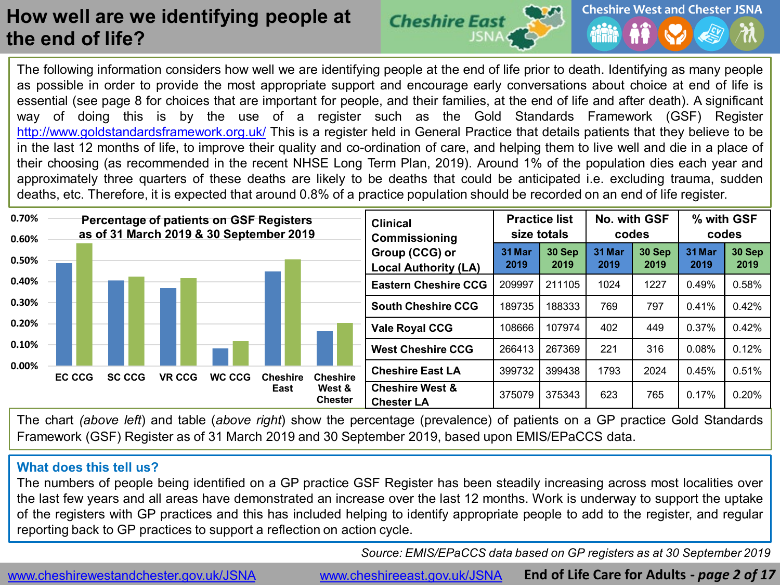# **How well are we identifying people at the end of life?**



The following information considers how well we are identifying people at the end of life prior to death. Identifying as many people as possible in order to provide the most appropriate support and encourage early conversations about choice at end of life is essential (see page 8 for choices that are important for people, and their families, at the end of life and after death). A significant way of doing this is by the use of a register such as the Gold Standards Framework (GSF) Register <http://www.goldstandardsframework.org.uk/> This is a register held in General Practice that details patients that they believe to be in the last 12 months of life, to improve their quality and co-ordination of care, and helping them to live well and die in a place of their choosing (as recommended in the recent NHSE Long Term Plan, 2019). Around 1% of the population dies each year and approximately three quarters of these deaths are likely to be deaths that could be anticipated i.e. excluding trauma, sudden deaths, etc. Therefore, it is expected that around 0.8% of a practice population should be recorded on an end of life register.

| 0.70%<br>0.60% |               |               |               | Percentage of patients on GSF Registers<br>as of 31 March 2019 & 30 September 2019 |                 |                          | <b>Clinical</b><br>Commissioning                |                | <b>Practice list</b><br>size totals | codes          | No. with GSF   | % with GSF<br>codes |                |
|----------------|---------------|---------------|---------------|------------------------------------------------------------------------------------|-----------------|--------------------------|-------------------------------------------------|----------------|-------------------------------------|----------------|----------------|---------------------|----------------|
| 0.50%          |               |               |               |                                                                                    |                 |                          | Group (CCG) or<br><b>Local Authority (LA)</b>   | 31 Mar<br>2019 | 30 Sep<br>2019                      | 31 Mar<br>2019 | 30 Sep<br>2019 | 31 Mar<br>2019      | 30 Sep<br>2019 |
| 0.40%          |               |               |               |                                                                                    |                 |                          | <b>Eastern Cheshire CCG</b>                     | 209997         | 211105                              | 1024           | 1227           | 0.49%               | 0.58%          |
| 0.30%          |               |               |               |                                                                                    |                 |                          | <b>South Cheshire CCG</b>                       | 189735         | 188333                              | 769            | 797            | 0.41%               | 0.42%          |
| 0.20%          |               |               |               |                                                                                    |                 |                          | <b>Vale Royal CCG</b>                           | 108666         | 107974                              | 402            | 449            | 0.37%               | 0.42%          |
| 0.10%          |               |               |               |                                                                                    |                 |                          | <b>West Cheshire CCG</b>                        | 266413         | 267369                              | 221            | 316            | 0.08%               | 0.12%          |
| 0.00%          | <b>EC CCG</b> | <b>SC CCG</b> | <b>VR CCG</b> | WC CCG                                                                             | <b>Cheshire</b> | <b>Cheshire</b>          | <b>Cheshire East LA</b>                         | 399732         | 399438                              | 1793           | 2024           | 0.45%               | 0.51%          |
|                |               |               |               |                                                                                    | East            | West &<br><b>Chester</b> | <b>Cheshire West &amp;</b><br><b>Chester LA</b> | 375079         | 375343                              | 623            | 765            | 0.17%               | 0.20%          |

The chart *(above left*) and table (*above right*) show the percentage (prevalence) of patients on a GP practice Gold Standards Framework (GSF) Register as of 31 March 2019 and 30 September 2019, based upon EMIS/EPaCCS data.

#### **What does this tell us?**

The numbers of people being identified on a GP practice GSF Register has been steadily increasing across most localities over the last few years and all areas have demonstrated an increase over the last 12 months. Work is underway to support the uptake of the registers with GP practices and this has included helping to identify appropriate people to add to the register, and regular reporting back to GP practices to support a reflection on action cycle.

*Source: EMIS/EPaCCS data based on GP registers as at 30 September 2019*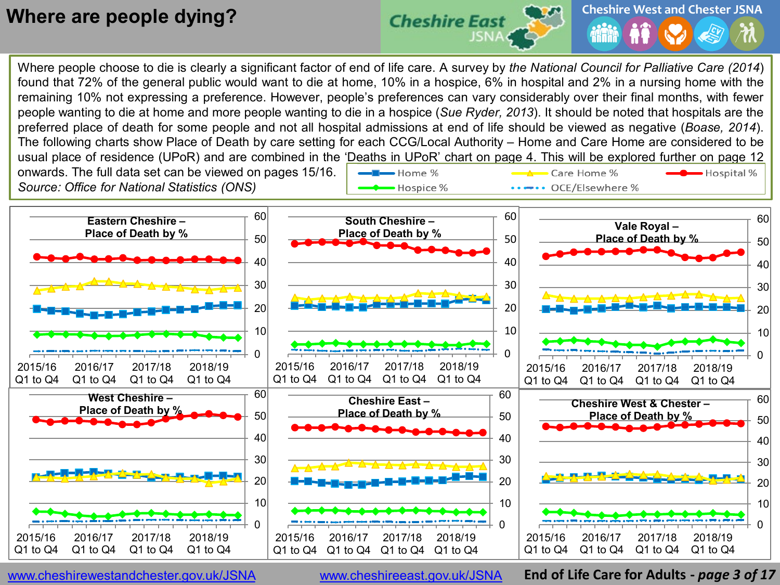# **Where are people dying?**



Where people choose to die is clearly a significant factor of end of life care. A survey by *the National Council for Palliative Care (2014*) found that 72% of the general public would want to die at home, 10% in a hospice, 6% in hospital and 2% in a nursing home with the remaining 10% not expressing a preference. However, people's preferences can vary considerably over their final months, with fewer people wanting to die at home and more people wanting to die in a hospice (*Sue Ryder, 2013*). It should be noted that hospitals are the preferred place of death for some people and not all hospital admissions at end of life should be viewed as negative (*Boase, 2014*). The following charts show Place of Death by care setting for each CCG/Local Authority – Home and Care Home are considered to be usual place of residence (UPoR) and are combined in the 'Deaths in UPoR' chart on page 4. This will be explored further on page 12 onwards. The full data set can be viewed on pages 15/16. Care Home %  $\blacksquare$  Home % - Hospital % *Source: Office for National Statistics (ONS)* ..... OCE/Elsewhere % • Hospice %



www.cheshirewestandchester.gov.uk/JSNA [www.cheshireeast.gov.uk/JSNA](http://www.cheshireeast.gov.uk/JSNA) **End of Life Care for Adults - page 3 of 17**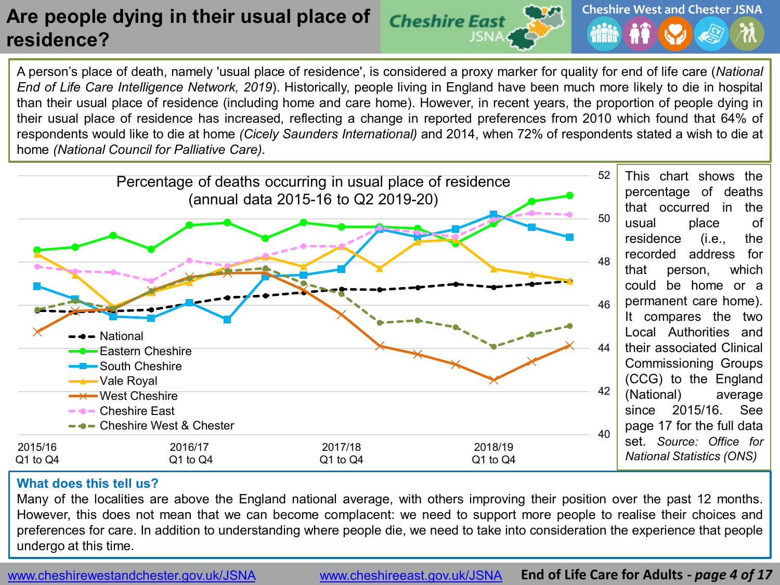# **Are people dying in their usual place of residence?**



A person's place of death, namely 'usual place of residence', is considered a proxy marker for quality for end of life care (*National End of Life Care Intelligence Network, 2019*). Historically, people living in England have been much more likely to die in hospital than their usual place of residence (including home and care home). However, in recent years, the proportion of people dying in their usual place of residence has increased, reflecting a change in reported preferences from 2010 which found that 64% of respondents would like to die at home *(Cicely Saunders International)* and 2014, when 72% of respondents stated a wish to die at home *(National Council for Palliative Care).*



#### **What does this tell us?**

Many of the localities are above the England national average, with others improving their position over the past 12 months. However, this does not mean that we can become complacent: we need to support more people to realise their choices and preferences for care. In addition to understanding where people die, we need to take into consideration the experience that people undergo at this time.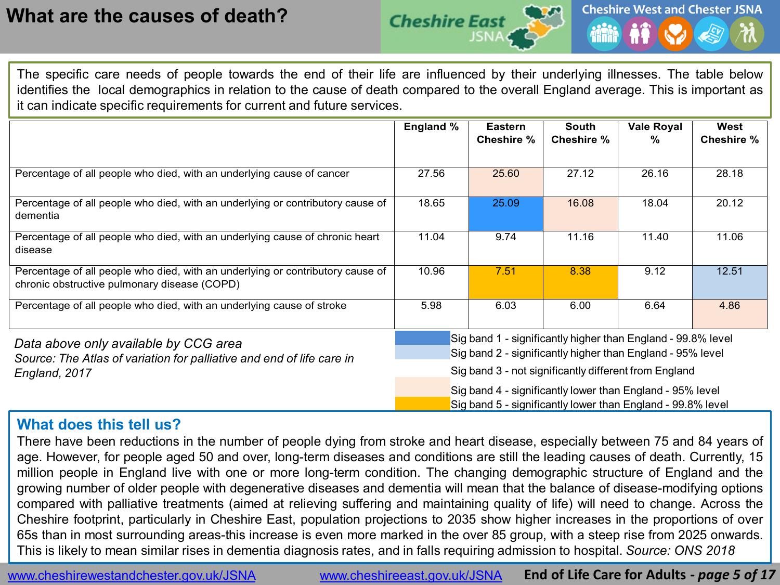# **What are the causes of death?**



The specific care needs of people towards the end of their life are influenced by their underlying illnesses. The table below identifies the local demographics in relation to the cause of death compared to the overall England average. This is important as it can indicate specific requirements for current and future services.

|                                                                                                                                | England % | <b>Eastern</b>                                                                                                             | South             | <b>Vale Royal</b> | West              |
|--------------------------------------------------------------------------------------------------------------------------------|-----------|----------------------------------------------------------------------------------------------------------------------------|-------------------|-------------------|-------------------|
|                                                                                                                                |           | Cheshire %                                                                                                                 | <b>Cheshire %</b> | %                 | <b>Cheshire %</b> |
|                                                                                                                                |           |                                                                                                                            |                   |                   |                   |
| Percentage of all people who died, with an underlying cause of cancer                                                          | 27.56     | 25.60                                                                                                                      | 27.12             | 26.16             | 28.18             |
| Percentage of all people who died, with an underlying or contributory cause of<br>dementia                                     | 18.65     | 25.09                                                                                                                      | 16.08             | 18.04             | 20.12             |
| Percentage of all people who died, with an underlying cause of chronic heart<br>disease                                        | 11.04     | 9.74                                                                                                                       | 11.16             | 11.40             | 11.06             |
| Percentage of all people who died, with an underlying or contributory cause of<br>chronic obstructive pulmonary disease (COPD) | 10.96     | 7.51                                                                                                                       | 8.38              | 9.12              | 12.51             |
| Percentage of all people who died, with an underlying cause of stroke                                                          | 5.98      | 6.03                                                                                                                       | 6.00              | 6.64              | 4.86              |
| Data above only available by CCG area<br>Source: The Atlas of variation for palliative and end of life care in                 |           | Sig band 1 - significantly higher than England - 99.8% level<br>Sig band 2 - significantly higher than England - 95% level |                   |                   |                   |
| England, 2017                                                                                                                  |           | Sig band 3 - not significantly different from England                                                                      |                   |                   |                   |
|                                                                                                                                |           | Sig band 4 - significantly lower than England - 95% level                                                                  |                   |                   |                   |
|                                                                                                                                |           | Sig band 5 - significantly lower than England - 99.8% level                                                                |                   |                   |                   |

## **What does this tell us?**

There have been reductions in the number of people dying from stroke and heart disease, especially between 75 and 84 years of age. However, for people aged 50 and over, long-term diseases and conditions are still the leading causes of death. Currently, 15 million people in England live with one or more long-term condition. The changing demographic structure of England and the growing number of older people with degenerative diseases and dementia will mean that the balance of disease-modifying options compared with palliative treatments (aimed at relieving suffering and maintaining quality of life) will need to change. Across the Cheshire footprint, particularly in Cheshire East, population projections to 2035 show higher increases in the proportions of over 65s than in most surrounding areas-this increase is even more marked in the over 85 group, with a steep rise from 2025 onwards. This is likely to mean similar rises in dementia diagnosis rates, and in falls requiring admission to hospital. *Source: ONS 2018*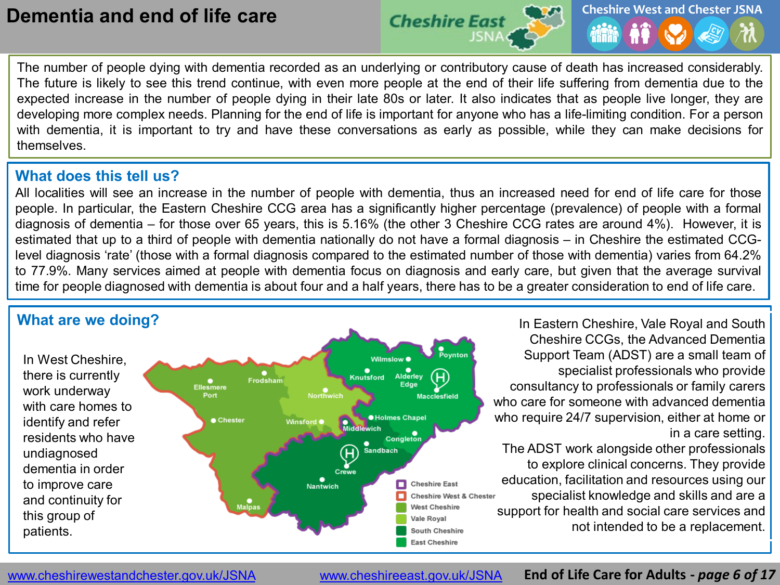

The number of people dying with dementia recorded as an underlying or contributory cause of death has increased considerably. The future is likely to see this trend continue, with even more people at the end of their life suffering from dementia due to the expected increase in the number of people dying in their late 80s or later. It also indicates that as people live longer, they are developing more complex needs. Planning for the end of life is important for anyone who has a life-limiting condition. For a person with dementia, it is important to try and have these conversations as early as possible, while they can make decisions for themselves.

## **What does this tell us?**

All localities will see an increase in the number of people with dementia, thus an increased need for end of life care for those people. In particular, the Eastern Cheshire CCG area has a significantly higher percentage (prevalence) of people with a formal diagnosis of dementia – for those over 65 years, this is 5.16% (the other 3 Cheshire CCG rates are around 4%). However, it is estimated that up to a third of people with dementia nationally do not have a formal diagnosis – in Cheshire the estimated CCGlevel diagnosis 'rate' (those with a formal diagnosis compared to the estimated number of those with dementia) varies from 64.2% to 77.9%. Many services aimed at people with dementia focus on diagnosis and early care, but given that the average survival time for people diagnosed with dementia is about four and a half years, there has to be a greater consideration to end of life care.



www.cheshirewestandchester.gov.uk/JSNA [www.cheshireeast.gov.uk/JSNA](http://www.cheshireeast.gov.uk/JSNA) **End of Life Care for Adults -** *page 6 of 17*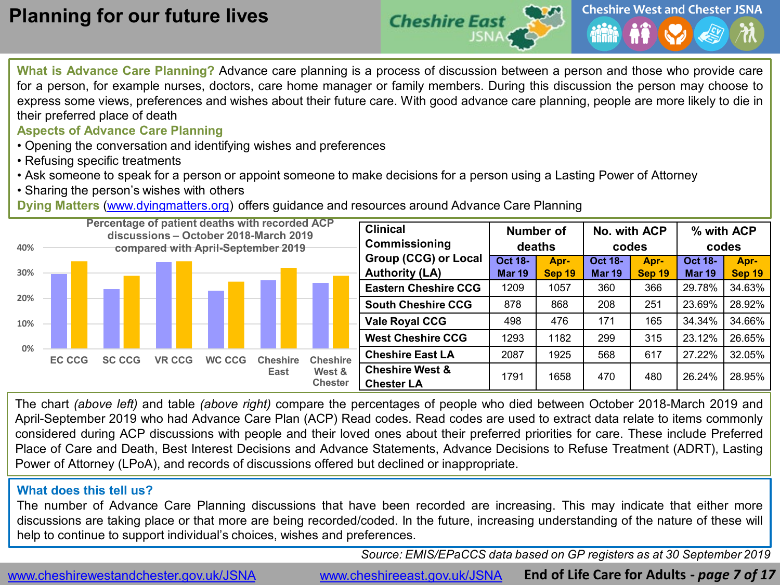

**What is Advance Care Planning?** Advance care planning is a process of discussion between a person and those who provide care for a person, for example nurses, doctors, care home manager or family members. During this discussion the person may choose to express some views, preferences and wishes about their future care. With good advance care planning, people are more likely to die in their preferred place of death

#### **Aspects of Advance Care Planning**

- Opening the conversation and identifying wishes and preferences
- Refusing specific treatments
- Ask someone to speak for a person or appoint someone to make decisions for a person using a Lasting Power of Attorney
- Sharing the person's wishes with others

**Dying Matters** [\(www.dyingmatters.org\)](http://www.dyingmatters.org/) offers guidance and resources around Advance Care Planning

| 40% |               | Percentage of patient deaths with recorded ACP |               |               | discussions – October 2018-March 2019<br>compared with April-September 2019 |                          | <b>Clinical</b><br>Commissioning                     | <b>Number of</b><br>deaths      |                       | No. with ACP<br>codes           |                       | % with ACP                      | codes          |
|-----|---------------|------------------------------------------------|---------------|---------------|-----------------------------------------------------------------------------|--------------------------|------------------------------------------------------|---------------------------------|-----------------------|---------------------------------|-----------------------|---------------------------------|----------------|
| 30% |               |                                                |               |               |                                                                             |                          | <b>Group (CCG) or Local</b><br><b>Authority (LA)</b> | <b>Oct 18-</b><br><b>Mar 19</b> | Apr-<br><b>Sep 19</b> | <b>Oct 18-</b><br><b>Mar 19</b> | Apr-<br><b>Sep 19</b> | <b>Oct 18-</b><br><b>Mar 19</b> | Apr-<br>Sep 19 |
|     |               |                                                |               |               |                                                                             |                          | <b>Eastern Cheshire CCG</b>                          | 1209                            | 1057                  | 360                             | 366                   | 29.78%                          | 34.63%         |
| 20% |               |                                                |               |               |                                                                             |                          | <b>South Cheshire CCG</b>                            | 878                             | 868                   | 208                             | 251                   | 23.69%                          | 28.92%         |
| 10% |               |                                                |               |               |                                                                             |                          | Vale Royal CCG                                       | 498                             | 476                   | 171                             | 165                   | 34.34%                          | 34.66%         |
|     |               |                                                |               |               |                                                                             |                          | <b>West Cheshire CCG</b>                             | 1293                            | 1182                  | 299                             | 315                   | 23.12%                          | 26.65%         |
| 0%  | <b>EC CCG</b> | <b>SC CCG</b>                                  | <b>VR CCG</b> | <b>WC CCG</b> | <b>Cheshire</b>                                                             | <b>Cheshire</b>          | <b>Cheshire East LA</b>                              | 2087                            | 1925                  | 568                             | 617                   | 27.22%                          | 32.05%         |
|     |               |                                                |               |               | East                                                                        | West &<br><b>Chester</b> | <b>Cheshire West &amp;</b><br><b>Chester LA</b>      | 1791                            | 1658                  | 470                             | 480                   | 26.24%                          | 28.95%         |

The chart *(above left)* and table *(above right)* compare the percentages of people who died between October 2018-March 2019 and April-September 2019 who had Advance Care Plan (ACP) Read codes. Read codes are used to extract data relate to items commonly considered during ACP discussions with people and their loved ones about their preferred priorities for care. These include Preferred Place of Care and Death, Best Interest Decisions and Advance Statements, Advance Decisions to Refuse Treatment (ADRT), Lasting Power of Attorney (LPoA), and records of discussions offered but declined or inappropriate.

#### **What does this tell us?**

The number of Advance Care Planning discussions that have been recorded are increasing. This may indicate that either more discussions are taking place or that more are being recorded/coded. In the future, increasing understanding of the nature of these will help to continue to support individual's choices, wishes and preferences.

*Source: EMIS/EPaCCS data based on GP registers as at 30 September 2019* 

www.cheshirewestandchester.gov.uk/JSNA [www.cheshireeast.gov.uk/JSNA](http://www.cheshireeast.gov.uk/JSNA) **End of Life Care for Adults -** *page 7 of 17*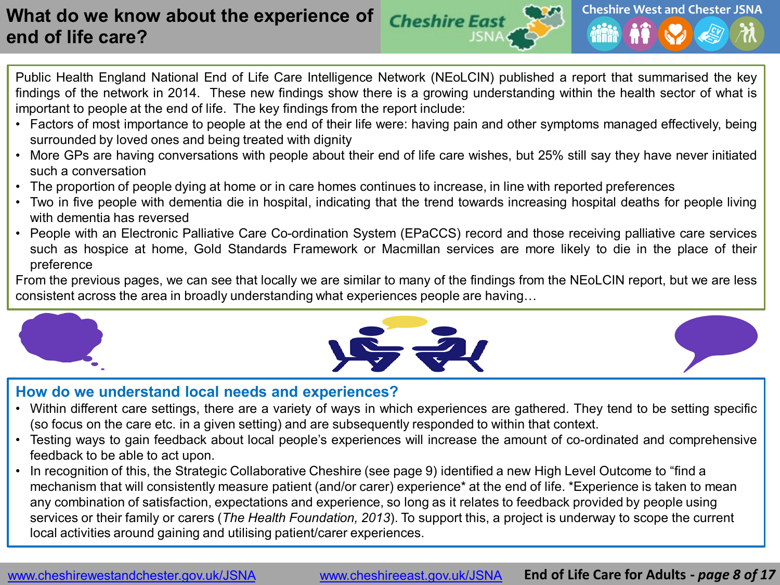## **What do we know about the experience of end of life care?**



Public Health England National End of Life Care Intelligence Network (NEoLCIN) published a report that summarised the key findings of the network in 2014. These new findings show there is a growing understanding within the health sector of what is important to people at the end of life. The key findings from the report include:

- Factors of most importance to people at the end of their life were: having pain and other symptoms managed effectively, being surrounded by loved ones and being treated with dignity
- More GPs are having conversations with people about their end of life care wishes, but 25% still say they have never initiated such a conversation
- The proportion of people dying at home or in care homes continues to increase, in line with reported preferences
- Two in five people with dementia die in hospital, indicating that the trend towards increasing hospital deaths for people living with dementia has reversed
- People with an Electronic Palliative Care Co-ordination System (EPaCCS) record and those receiving palliative care services such as hospice at home, Gold Standards Framework or Macmillan services are more likely to die in the place of their preference

From the previous pages, we can see that locally we are similar to many of the findings from the NEoLCIN report, but we are less consistent across the area in broadly understanding what experiences people are having…



## **How do we understand local needs and experiences?**

- Within different care settings, there are a variety of ways in which experiences are gathered. They tend to be setting specific (so focus on the care etc. in a given setting) and are subsequently responded to within that context.
- Testing ways to gain feedback about local people's experiences will increase the amount of co-ordinated and comprehensive feedback to be able to act upon.
- In recognition of this, the Strategic Collaborative Cheshire (see page 9) identified a new High Level Outcome to "find a mechanism that will consistently measure patient (and/or carer) experience\* at the end of life. \*Experience is taken to mean any combination of satisfaction, expectations and experience, so long as it relates to feedback provided by people using services or their family or carers (*The Health Foundation, 2013*). To support this, a project is underway to scope the current local activities around gaining and utilising patient/carer experiences.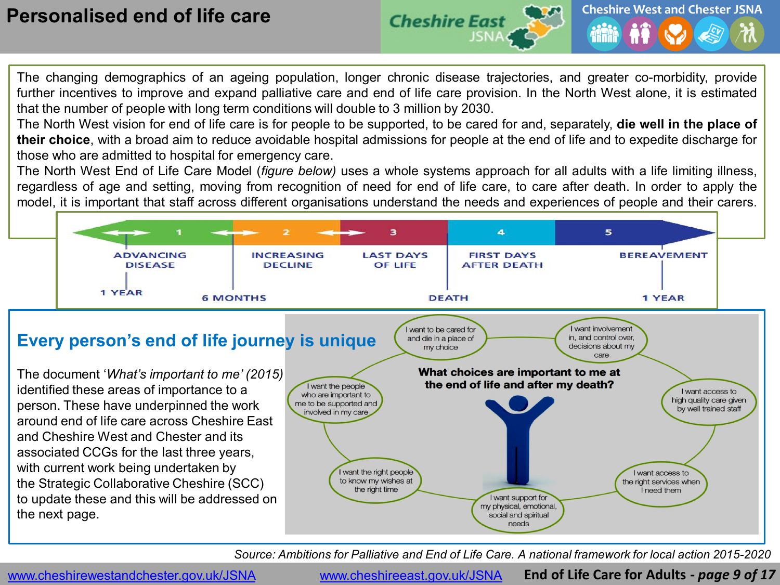

The changing demographics of an ageing population, longer chronic disease trajectories, and greater co-morbidity, provide further incentives to improve and expand palliative care and end of life care provision. In the North West alone, it is estimated that the number of people with long term conditions will double to 3 million by 2030.

The North West vision for end of life care is for people to be supported, to be cared for and, separately, **die well in the place of their choice**, with a broad aim to reduce avoidable hospital admissions for people at the end of life and to expedite discharge for those who are admitted to hospital for emergency care.

The North West End of Life Care Model (*figure below)* uses a whole systems approach for all adults with a life limiting illness, regardless of age and setting, moving from recognition of need for end of life care, to care after death. In order to apply the model, it is important that staff across different organisations understand the needs and experiences of people and their carers.



*Source: Ambitions for Palliative and End of Life Care. A national framework for local action 2015-2020*

www.cheshirewestandchester.gov.uk/JSNA [www.cheshireeast.gov.uk/JSNA](http://www.cheshireeast.gov.uk/JSNA) **End of Life Care for Adults -** *page 9 of 17*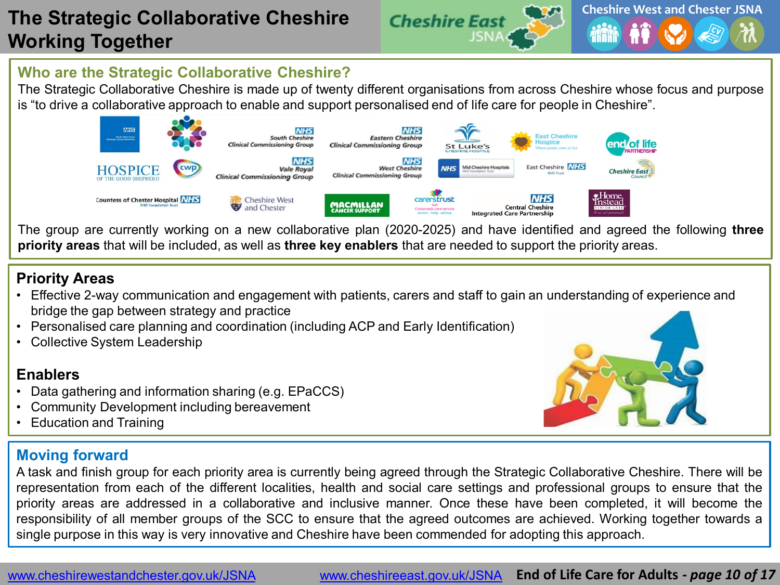# **The Strategic Collaborative Cheshire Working Together**



## **Who are the Strategic Collaborative Cheshire?**

The Strategic Collaborative Cheshire is made up of twenty different organisations from across Cheshire whose focus and purpose is "to drive a collaborative approach to enable and support personalised end of life care for people in Cheshire".



The group are currently working on a new collaborative plan (2020-2025) and have identified and agreed the following **three priority areas** that will be included, as well as **three key enablers** that are needed to support the priority areas.

## **Priority Areas**

- Effective 2-way communication and engagement with patients, carers and staff to gain an understanding of experience and bridge the gap between strategy and practice
- Personalised care planning and coordination (including ACP and Early Identification)
- Collective System Leadership

## **Enablers**

- Data gathering and information sharing (e.g. EPaCCS)
- Community Development including bereavement
- Education and Training

## **Moving forward**

A task and finish group for each priority area is currently being agreed through the Strategic Collaborative Cheshire. There will be representation from each of the different localities, health and social care settings and professional groups to ensure that the priority areas are addressed in a collaborative and inclusive manner. Once these have been completed, it will become the responsibility of all member groups of the SCC to ensure that the agreed outcomes are achieved. Working together towards a single purpose in this way is very innovative and Cheshire have been commended for adopting this approach.

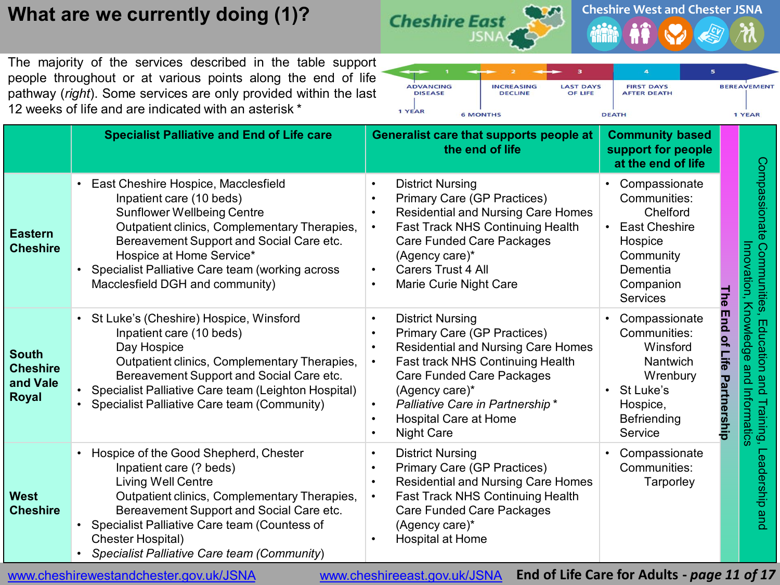# **What are we currently doing (1)?**



**INCREASING** 

**DECLINE** 

**LAST DAYS** 

OF LIFE

ADVANCING

**DISEASE** 

1 YEAR



**FIRST DAYS** 

**AFTER DEATH** 

 $\overline{\mathbf{5}}$ 

**BEREAVEMENT** 

The majority of the services described in the table support people throughout or at various points along the end of life pathway (*right*). Some services are only provided within the last 12 weeks of life and are indicated with an asterisk \*

|                                                             | <u>IZ WEERS OF IIIE ANU ALE INUICALEU WILLI ANI ASIENSR</u>                                                                                                                                                                                                                                                                             | 1 YEAR<br><b>6 MONTHS</b>                                                                                                                                                                                                                                                                                                           | <b>DEATH</b>                                                                                                                                                    |                                   | 1 YEAR                                                             |
|-------------------------------------------------------------|-----------------------------------------------------------------------------------------------------------------------------------------------------------------------------------------------------------------------------------------------------------------------------------------------------------------------------------------|-------------------------------------------------------------------------------------------------------------------------------------------------------------------------------------------------------------------------------------------------------------------------------------------------------------------------------------|-----------------------------------------------------------------------------------------------------------------------------------------------------------------|-----------------------------------|--------------------------------------------------------------------|
|                                                             | <b>Specialist Palliative and End of Life care</b>                                                                                                                                                                                                                                                                                       | Generalist care that supports people at<br>the end of life                                                                                                                                                                                                                                                                          | <b>Community based</b><br>support for people<br>at the end of life                                                                                              |                                   |                                                                    |
| <b>Eastern</b><br><b>Cheshire</b>                           | East Cheshire Hospice, Macclesfield<br>$\bullet$<br>Inpatient care (10 beds)<br><b>Sunflower Wellbeing Centre</b><br>Outpatient clinics, Complementary Therapies,<br>Bereavement Support and Social Care etc.<br>Hospice at Home Service*<br>Specialist Palliative Care team (working across<br>Macclesfield DGH and community)         | <b>District Nursing</b><br>$\bullet$<br>Primary Care (GP Practices)<br><b>Residential and Nursing Care Homes</b><br>$\bullet$<br>Fast Track NHS Continuing Health<br><b>Care Funded Care Packages</b><br>(Agency care)*<br>Carers Trust 4 All<br>$\bullet$<br>Marie Curie Night Care                                                | Compassionate<br>$\bullet$<br>Communities:<br>Chelford<br><b>East Cheshire</b><br>$\bullet$<br>Hospice<br>Community<br>Dementia<br>Companion<br><b>Services</b> | The                               | Compassionate<br>Innovation,<br>Communities                        |
| <b>South</b><br><b>Cheshire</b><br>and Vale<br><b>Royal</b> | St Luke's (Cheshire) Hospice, Winsford<br>$\bullet$<br>Inpatient care (10 beds)<br>Day Hospice<br>Outpatient clinics, Complementary Therapies,<br>Bereavement Support and Social Care etc.<br>Specialist Palliative Care team (Leighton Hospital)<br>Specialist Palliative Care team (Community)                                        | <b>District Nursing</b><br>$\bullet$<br><b>Primary Care (GP Practices)</b><br><b>Residential and Nursing Care Homes</b><br>$\bullet$<br>Fast track NHS Continuing Health<br><b>Care Funded Care Packages</b><br>(Agency care)*<br>Palliative Care in Partnership*<br>$\bullet$<br><b>Hospital Care at Home</b><br><b>Night Care</b> | Compassionate<br>Communities:<br>Winsford<br>Nantwich<br>Wrenbury<br>St Luke's<br>$\bullet$<br>Hospice,<br>Befriending<br>Service                               | <b>End</b><br>of Life Partnership | Knowledge and<br>Education<br>pue<br>nd Training,<br>I Informatics |
| <b>West</b><br><b>Cheshire</b>                              | Hospice of the Good Shepherd, Chester<br>$\bullet$<br>Inpatient care (? beds)<br><b>Living Well Centre</b><br>Outpatient clinics, Complementary Therapies,<br>Bereavement Support and Social Care etc.<br>Specialist Palliative Care team (Countess of<br>$\bullet$<br>Chester Hospital)<br>Specialist Palliative Care team (Community) | <b>District Nursing</b><br>$\bullet$<br><b>Primary Care (GP Practices)</b><br><b>Residential and Nursing Care Homes</b><br><b>Fast Track NHS Continuing Health</b><br><b>Care Funded Care Packages</b><br>(Agency care)*<br>Hospital at Home                                                                                        | Compassionate<br>Communities:<br>Tarporley                                                                                                                      |                                   | Leadership and                                                     |

www.cheshirewestandchester.gov.uk/JSNA [www.cheshireeast.gov.uk/JSNA](http://www.cheshireeast.gov.uk/JSNA)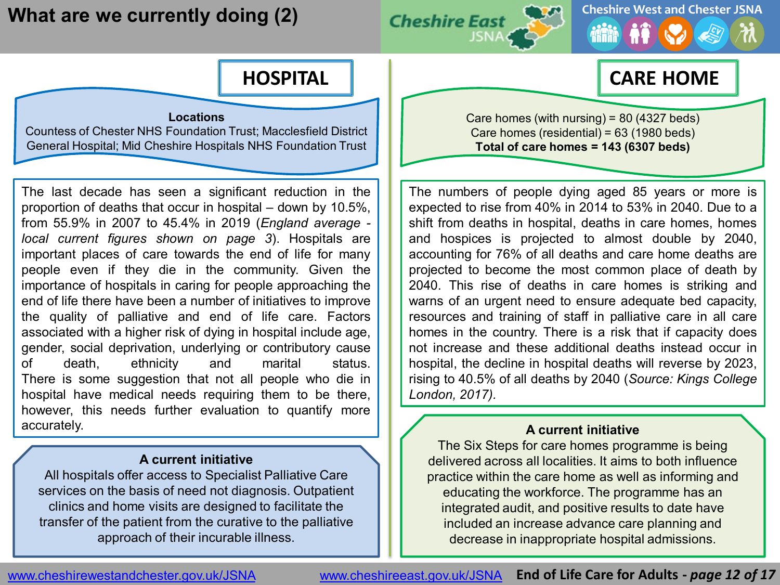# **What are we currently doing (2)**





**CARE HOME**

## **HOSPITAL**

#### **Locations**

Countess of Chester NHS Foundation Trust; Macclesfield District General Hospital; Mid Cheshire Hospitals NHS Foundation Trust

The last decade has seen a significant reduction in the proportion of deaths that occur in hospital – down by 10.5%, from 55.9% in 2007 to 45.4% in 2019 (*England average local current figures shown on page 3*). Hospitals are important places of care towards the end of life for many people even if they die in the community. Given the importance of hospitals in caring for people approaching the end of life there have been a number of initiatives to improve the quality of palliative and end of life care. Factors associated with a higher risk of dying in hospital include age, gender, social deprivation, underlying or contributory cause of death, ethnicity and marital status. There is some suggestion that not all people who die in hospital have medical needs requiring them to be there, however, this needs further evaluation to quantify more accurately.

#### **A current initiative**

All hospitals offer access to Specialist Palliative Care services on the basis of need not diagnosis. Outpatient clinics and home visits are designed to facilitate the transfer of the patient from the curative to the palliative approach of their incurable illness.

Care homes (with nursing) = 80 (4327 beds) Care homes (residential) = 63 (1980 beds) **Total of care homes = 143 (6307 beds)**

The numbers of people dying aged 85 years or more is expected to rise from 40% in 2014 to 53% in 2040. Due to a shift from deaths in hospital, deaths in care homes, homes and hospices is projected to almost double by 2040, accounting for 76% of all deaths and care home deaths are projected to become the most common place of death by 2040. This rise of deaths in care homes is striking and warns of an urgent need to ensure adequate bed capacity, resources and training of staff in palliative care in all care homes in the country. There is a risk that if capacity does not increase and these additional deaths instead occur in hospital, the decline in hospital deaths will reverse by 2023, rising to 40.5% of all deaths by 2040 (*Source: Kings College London, 2017).*

#### **A current initiative**

The Six Steps for care homes programme is being delivered across all localities. It aims to both influence practice within the care home as well as informing and educating the workforce. The programme has an integrated audit, and positive results to date have included an increase advance care planning and decrease in inappropriate hospital admissions.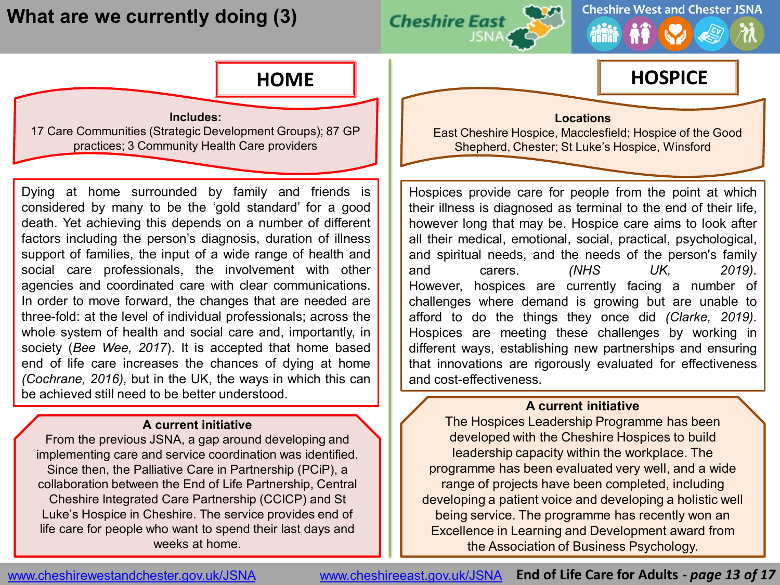# **What are we currently doing (3)**





#### **Includes:** 17 Care Communities (Strategic Development Groups); 87 GP practices; 3 Community Health Care providers

Dying at home surrounded by family and friends is considered by many to be the 'gold standard' for a good death. Yet achieving this depends on a number of different factors including the person's diagnosis, duration of illness support of families, the input of a wide range of health and social care professionals, the involvement with other agencies and coordinated care with clear communications. In order to move forward, the changes that are needed are three-fold: at the level of individual professionals; across the whole system of health and social care and, importantly, in society (*Bee Wee, 2017*). It is accepted that home based end of life care increases the chances of dying at home *(Cochrane, 2016),* but in the UK, the ways in which this can be achieved still need to be better understood.

#### **A current initiative**

From the previous JSNA, a gap around developing and implementing care and service coordination was identified. Since then, the Palliative Care in Partnership (PCiP), a collaboration between the End of Life Partnership, Central Cheshire Integrated Care Partnership (CCICP) and St Luke's Hospice in Cheshire. The service provides end of life care for people who want to spend their last days and weeks at home.

# **HOME HOSPICE**

#### **Locations**

East Cheshire Hospice, Macclesfield; Hospice of the Good Shepherd, Chester; St Luke's Hospice, Winsford

Hospices provide care for people from the point at which their illness is diagnosed as terminal to the end of their life, however long that may be. Hospice care aims to look after all their medical, emotional, social, practical, psychological, and spiritual needs, and the needs of the person's family and carers. *(NHS UK, 2019).* However, hospices are currently facing a number of challenges where demand is growing but are unable to afford to do the things they once did *(Clarke, 2019).* Hospices are meeting these challenges by working in different ways, establishing new partnerships and ensuring that innovations are rigorously evaluated for effectiveness and cost-effectiveness.

#### **A current initiative**

The Hospices Leadership Programme has been developed with the Cheshire Hospices to build leadership capacity within the workplace. The programme has been evaluated very well, and a wide range of projects have been completed, including developing a patient voice and developing a holistic well being service. The programme has recently won an Excellence in Learning and Development award from the Association of Business Psychology.

www.cheshirewestandchester.gov.uk/JSNA [www.cheshireeast.gov.uk/JSNA](http://www.cheshireeast.gov.uk/JSNA)

**End of Life Care for Adults -** *page 13 of 17*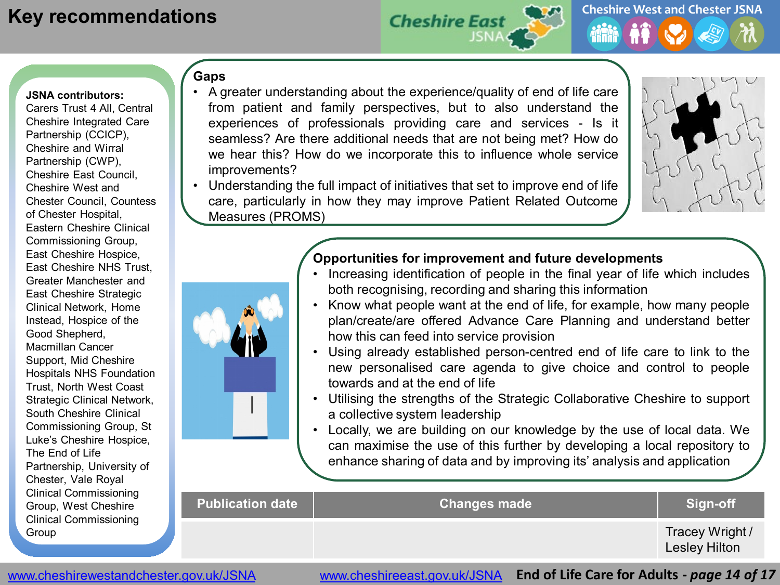



#### **JSNA contributors:**

Carers Trust 4 All, Central Cheshire Integrated Care Partnership (CCICP), Cheshire and Wirral Partnership (CWP), Cheshire East Council, Cheshire West and Chester Council, Countess of Chester Hospital, Eastern Cheshire Clinical Commissioning Group, East Cheshire Hospice, East Cheshire NHS Trust, Greater Manchester and East Cheshire Strategic Clinical Network, Home Instead, Hospice of the Good Shepherd, Macmillan Cancer Support, Mid Cheshire Hospitals NHS Foundation Trust, North West Coast Strategic Clinical Network, South Cheshire Clinical Commissioning Group, St Luke's Cheshire Hospice, The End of Life Partnership, University of Chester, Vale Royal Clinical Commissioning Group, West Cheshire Clinical Commissioning **Group** 

## **Gaps**

- A greater understanding about the experience/quality of end of life care from patient and family perspectives, but to also understand the experiences of professionals providing care and services - Is it seamless? Are there additional needs that are not being met? How do we hear this? How do we incorporate this to influence whole service improvements?
- Understanding the full impact of initiatives that set to improve end of life care, particularly in how they may improve Patient Related Outcome Measures (PROMS)



## **Opportunities for improvement and future developments**

- Increasing identification of people in the final year of life which includes both recognising, recording and sharing this information
- Know what people want at the end of life, for example, how many people plan/create/are offered Advance Care Planning and understand better how this can feed into service provision
- Using already established person-centred end of life care to link to the new personalised care agenda to give choice and control to people towards and at the end of life
- Utilising the strengths of the Strategic Collaborative Cheshire to support a collective system leadership
- Locally, we are building on our knowledge by the use of local data. We can maximise the use of this further by developing a local repository to enhance sharing of data and by improving its' analysis and application

| <b>Publication date</b> | <b>Changes made</b> | Sign-off                                |
|-------------------------|---------------------|-----------------------------------------|
|                         |                     | Tracey Wright /<br><b>Lesley Hilton</b> |

www.cheshirewestandchester.gov.uk/JSNA [www.cheshireeast.gov.uk/JSNA](http://www.cheshireeast.gov.uk/JSNA)

**End of Life Care for Adults -** *page 14 of 17*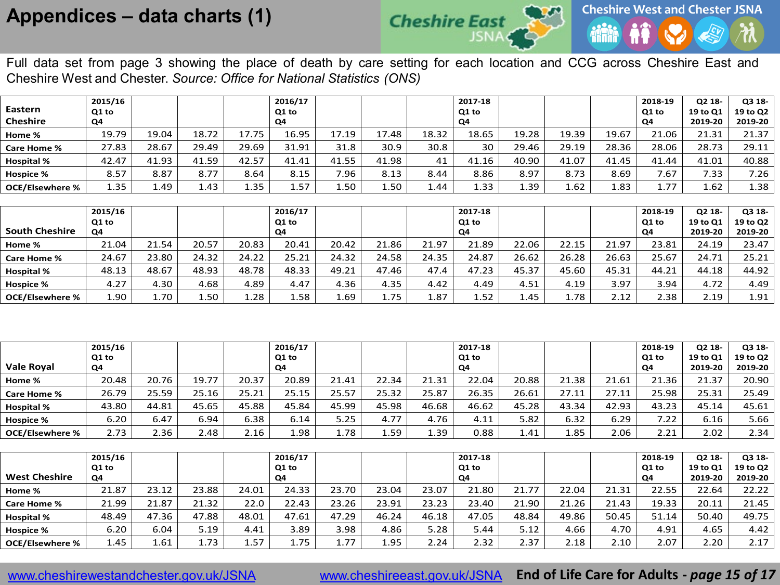## **Appendices – data charts (1)**



Full data set from page 3 showing the place of death by care setting for each location and CCG across Cheshire East and Cheshire West and Chester. *Source: Office for National Statistics (ONS)*

| Eastern<br><b>Cheshire</b> | 2015/16<br>Q1 to<br>Q4 |       |       |       | 2016/17<br>Q1 to<br>Q4 |       |       |       | 2017-18<br>Q1 to<br>Q4 |       |       |       | 2018-19<br>Q1 to<br>Q4 | Q2 18-<br>19 to Q1<br>2019-20 | Q3 18-<br>19 to Q2<br>2019-20 |
|----------------------------|------------------------|-------|-------|-------|------------------------|-------|-------|-------|------------------------|-------|-------|-------|------------------------|-------------------------------|-------------------------------|
| Home %                     | 19.79                  | 19.04 | 18.72 | 17.75 | 16.95                  | 17.19 | 17.48 | 18.32 | 18.65                  | 19.28 | 19.39 | 19.67 | 21.06                  | 21.31                         | 21.37                         |
| <b>Care Home %</b>         | 27.83                  | 28.67 | 29.49 | 29.69 | 31.91                  | 31.8  | 30.9  | 30.8  | 30                     | 29.46 | 29.19 | 28.36 | 28.06                  | 28.73                         | 29.11                         |
| <b>Hospital %</b>          | 42.47                  | 41.93 | 41.59 | 42.57 | 41.41                  | 41.55 | 41.98 | 41    | 41.16                  | 40.90 | 41.07 | 41.45 | 41.44                  | 41.01                         | 40.88                         |
| <b>Hospice %</b>           | 8.57                   | 8.87  | 8.77  | 8.64  | 8.15                   | 7.96  | 8.13  | 8.44  | 8.86                   | 8.97  | 8.73  | 8.69  | 7.67                   | 7.33                          | 7.26                          |
| <b>OCE/Elsewhere %</b>     | 1.35                   | 1.49  | 1.43  | 1.35  | $\pm .57$              | 1.50  | 1.50  | 1.44  | 1.33                   | 1.39  | 1.62  | 1.83  | $\pm .77$              | 1.62                          | 1.38                          |
|                            |                        |       |       |       |                        |       |       |       |                        |       |       |       |                        |                               |                               |

|                        | 2015/16 |       |       |       | 2016/17 |       |       |       | 2017-18 |       |       |       | 2018-19 | Q2 18-   | Q3 18-   |
|------------------------|---------|-------|-------|-------|---------|-------|-------|-------|---------|-------|-------|-------|---------|----------|----------|
|                        | Q1 to   |       |       |       | Q1 to   |       |       |       | Q1 to   |       |       |       | Q1 to   | 19 to Q1 | 19 to Q2 |
| <b>South Cheshire</b>  | Q4      |       |       |       | Q4      |       |       |       | Q4      |       |       |       | Q4      | 2019-20  | 2019-20  |
| Home %                 | 21.04   | 21.54 | 20.57 | 20.83 | 20.41   | 20.42 | 21.86 | 21.97 | 21.89   | 22.06 | 22.15 | 21.97 | 23.81   | 24.19    | 23.47    |
| <b>Care Home %</b>     | 24.67   | 23.80 | 24.32 | 24.22 | 25.21   | 24.32 | 24.58 | 24.35 | 24.87   | 26.62 | 26.28 | 26.63 | 25.67   | 24.71    | 25.21    |
| <b>Hospital %</b>      | 48.13   | 48.67 | 48.93 | 48.78 | 48.33   | 49.21 | 47.46 | 47.4  | 47.23   | 45.37 | 45.60 | 45.31 | 44.21   | 44.18    | 44.92    |
| <b>Hospice %</b>       | 4.27    | 4.30  | 4.68  | 4.89  | 4.47    | 4.36  | 4.35  | 4.42  | 4.49    | 4.51  | 4.19  | 3.97  | 3.94    | 4.72     | 4.49     |
| <b>OCE/Elsewhere %</b> | 1.90    | 1.70  | 1.50  | 1.28  | 1.58    | 1.69  | 1.75  | 1.87  | 1.52    | 1.45  | 1.78  | 2.12  | 2.38    | 2.19     | 1.91     |

|                        | 2015/16<br>Q1 to |       |       |       | 2016/17<br>Q1 to |       |       |       | 2017-18<br>Q1 to |       |       |       | 2018-19<br>Q1 to | Q2 18-<br>19 to Q1 | Q3 18-<br>19 to Q2 |
|------------------------|------------------|-------|-------|-------|------------------|-------|-------|-------|------------------|-------|-------|-------|------------------|--------------------|--------------------|
| <b>Vale Royal</b>      | Q4               |       |       |       | Q4               |       |       |       | Q4               |       |       |       | Q4               | 2019-20            | 2019-20            |
| Home %                 | 20.48            | 20.76 | 19.77 | 20.37 | 20.89            | 21.41 | 22.34 | 21.31 | 22.04            | 20.88 | 21.38 | 21.61 | 21.36            | 21.37              | 20.90              |
| <b>Care Home %</b>     | 26.79            | 25.59 | 25.16 | 25.21 | 25.15            | 25.57 | 25.32 | 25.87 | 26.35            | 26.61 | 27.11 | 27.11 | 25.98            | 25.31              | 25.49              |
| <b>Hospital %</b>      | 43.80            | 44.81 | 45.65 | 45.88 | 45.84            | 45.99 | 45.98 | 46.68 | 46.62            | 45.28 | 43.34 | 42.93 | 43.23            | 45.14              | 45.61              |
| <b>Hospice %</b>       | 6.20             | 6.47  | 6.94  | 6.38  | 6.14             | 5.25  | 4.77  | 4.76  | 4.11             | 5.82  | 6.32  | 6.29  | 7.22             | 6.16               | 5.66               |
| <b>OCE/Elsewhere %</b> | 2.73             | 2.36  | 2.48  | 2.16  | 1.98             | 1.78  | 1.59  | 1.39  | 0.88             | 1.41  | 1.85  | 2.06  | 2.21             | 2.02               | 2.34               |

|                        | 2015/16<br>Q1 to |       |       |       | 2016/17<br>Q1 to |       |       |       | 2017-18<br>Q1 to |       |       |       | 2018-19<br>Q1 to | Q2 18-<br>19 to Q1 | Q3 18-<br>19 to Q2 |
|------------------------|------------------|-------|-------|-------|------------------|-------|-------|-------|------------------|-------|-------|-------|------------------|--------------------|--------------------|
| <b>West Cheshire</b>   | Q4               |       |       |       | Q4               |       |       |       | Q4               |       |       |       | Q4               | 2019-20            | 2019-20            |
| Home %                 | 21.87            | 23.12 | 23.88 | 24.01 | 24.33            | 23.70 | 23.04 | 23.07 | 21.80            | 21.77 | 22.04 | 21.31 | 22.55            | 22.64              | 22.22              |
| <b>Care Home %</b>     | 21.99            | 21.87 | 21.32 | 22.0  | 22.43            | 23.26 | 23.91 | 23.23 | 23.40            | 21.90 | 21.26 | 21.43 | 19.33            | 20.11              | 21.45              |
| <b>Hospital %</b>      | 48.49            | 47.36 | 47.88 | 48.01 | 47.61            | 47.29 | 46.24 | 46.18 | 47.05            | 48.84 | 49.86 | 50.45 | 51.14            | 50.40              | 49.75              |
| <b>Hospice %</b>       | 6.20             | 6.04  | 5.19  | 4.41  | 3.89             | 3.98  | 4.86  | 5.28  | 5.44             | 5.12  | 4.66  | 4.70  | 4.91             | 4.65               | 4.42               |
| <b>OCE/Elsewhere %</b> | 1.45             | 1.61  | 1.73  | 1.57  | 1.75             | 1.77  | 1.95  | 2.24  | 2.32             | 2.37  | 2.18  | 2.10  | 2.07             | 2.20               | 2.17               |

www.cheshirewestandchester.gov.uk/JSNA [www.cheshireeast.gov.uk/JSNA](http://www.cheshireeast.gov.uk/JSNA) **End of Life Care for Adults -** *page 15 of 17*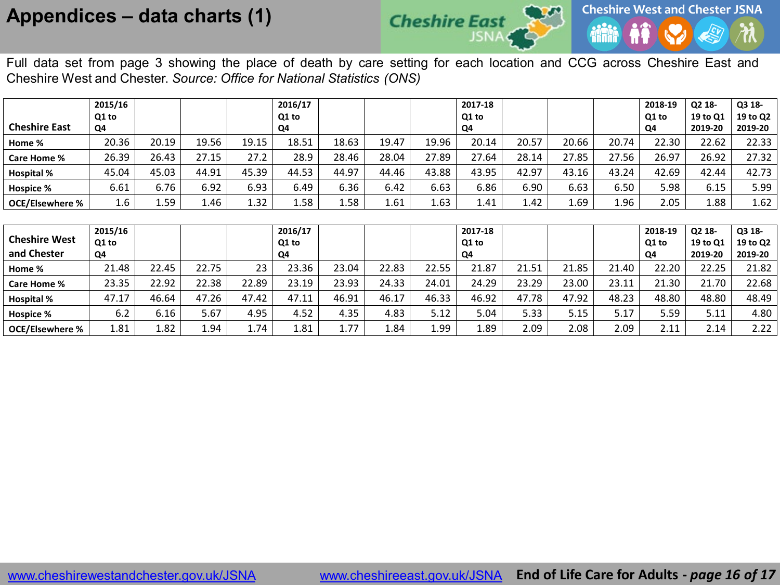## **Appendices – data charts (1)**



Full data set from page 3 showing the place of death by care setting for each location and CCG across Cheshire East and Cheshire West and Chester. *Source: Office for National Statistics (ONS)*

|                        | 2015/16 |       |       |       | 2016/17 |       |       |           | 2017-18 |       |       |       | 2018-19 | Q2 18-   | Q3 18-   |
|------------------------|---------|-------|-------|-------|---------|-------|-------|-----------|---------|-------|-------|-------|---------|----------|----------|
|                        | Q1 to   |       |       |       | Q1 to   |       |       |           | Q1 to   |       |       |       | Q1 to   | 19 to Q1 | 19 to Q2 |
| <b>Cheshire East</b>   | Q4      |       |       |       | Q4      |       |       |           | Q4      |       |       |       | Q4      | 2019-20  | 2019-20  |
| Home %                 | 20.36   | 20.19 | 19.56 | 19.15 | 18.51   | 18.63 | 19.47 | 19.96     | 20.14   | 20.57 | 20.66 | 20.74 | 22.30   | 22.62    | 22.33    |
| Care Home %            | 26.39   | 26.43 | 27.15 | 27.2  | 28.9    | 28.46 | 28.04 | 27.89     | 27.64   | 28.14 | 27.85 | 27.56 | 26.97   | 26.92    | 27.32    |
| Hospital %             | 45.04   | 45.03 | 44.91 | 45.39 | 44.53   | 44.97 | 44.46 | 43.88     | 43.95   | 42.97 | 43.16 | 43.24 | 42.69   | 42.44    | 42.73    |
| Hospice %              | 6.61    | 6.76  | 6.92  | 6.93  | 6.49    | 6.36  | 6.42  | 6.63      | 6.86    | 6.90  | 6.63  | 6.50  | 5.98    | 6.15     | 5.99     |
| <b>OCE/Elsewhere %</b> | 1.6     | 1.59  | 1.46  | 1.32  | 1.58    | 1.58  | 1.61  | $\pm .63$ | 1.41    | 1.42  | 1.69  | 1.96  | 2.05    | 1.88     | 1.62     |
|                        |         |       |       |       |         |       |       |           |         |       |       |       |         |          |          |
|                        | ------- |       |       |       | ------- |       |       |           | ------  |       |       |       | ------- |          | -----    |

| <b>Cheshire West</b><br>and Chester | 2015/16<br>Q1 to<br>Q4 |       |       |       | 2016/17<br>Q1 to<br>Q4 |       |       |       | 2017-18<br>Q1 to<br>Q4 |       |       |       | 2018-19<br>Q1 to<br>Q4 | Q2 18-<br>19 to Q1<br>2019-20 | Q3 18-<br>19 to Q2<br>2019-20 |
|-------------------------------------|------------------------|-------|-------|-------|------------------------|-------|-------|-------|------------------------|-------|-------|-------|------------------------|-------------------------------|-------------------------------|
| Home %                              | 21.48                  | 22.45 | 22.75 | 23    | 23.36                  | 23.04 | 22.83 | 22.55 | 21.87                  | 21.51 | 21.85 | 21.40 | 22.20                  | 22.25                         | 21.82                         |
| Care Home %                         | 23.35                  | 22.92 | 22.38 | 22.89 | 23.19                  | 23.93 | 24.33 | 24.01 | 24.29                  | 23.29 | 23.00 | 23.11 | 21.30                  | 21.70                         | 22.68                         |
| <b>Hospital %</b>                   | 47.17                  | 46.64 | 47.26 | 47.42 | 47.11                  | 46.91 | 46.17 | 46.33 | 46.92                  | 47.78 | 47.92 | 48.23 | 48.80                  | 48.80                         | 48.49                         |
| <b>Hospice %</b>                    | 6.2                    | 6.16  | 5.67  | 4.95  | 4.52                   | 4.35  | 4.83  | 5.12  | 5.04                   | 5.33  | 5.15  | 5.17  | 5.59                   | 5.11                          | 4.80                          |
| <b>OCE/Elsewhere %</b>              | 1.81                   | 1.82  | 1.94  | 1.74  | 1.81                   | 1.77  | 1.84  | 1.99  | 1.89                   | 2.09  | 2.08  | 2.09  | 2.11                   | 2.14                          | 2.22                          |